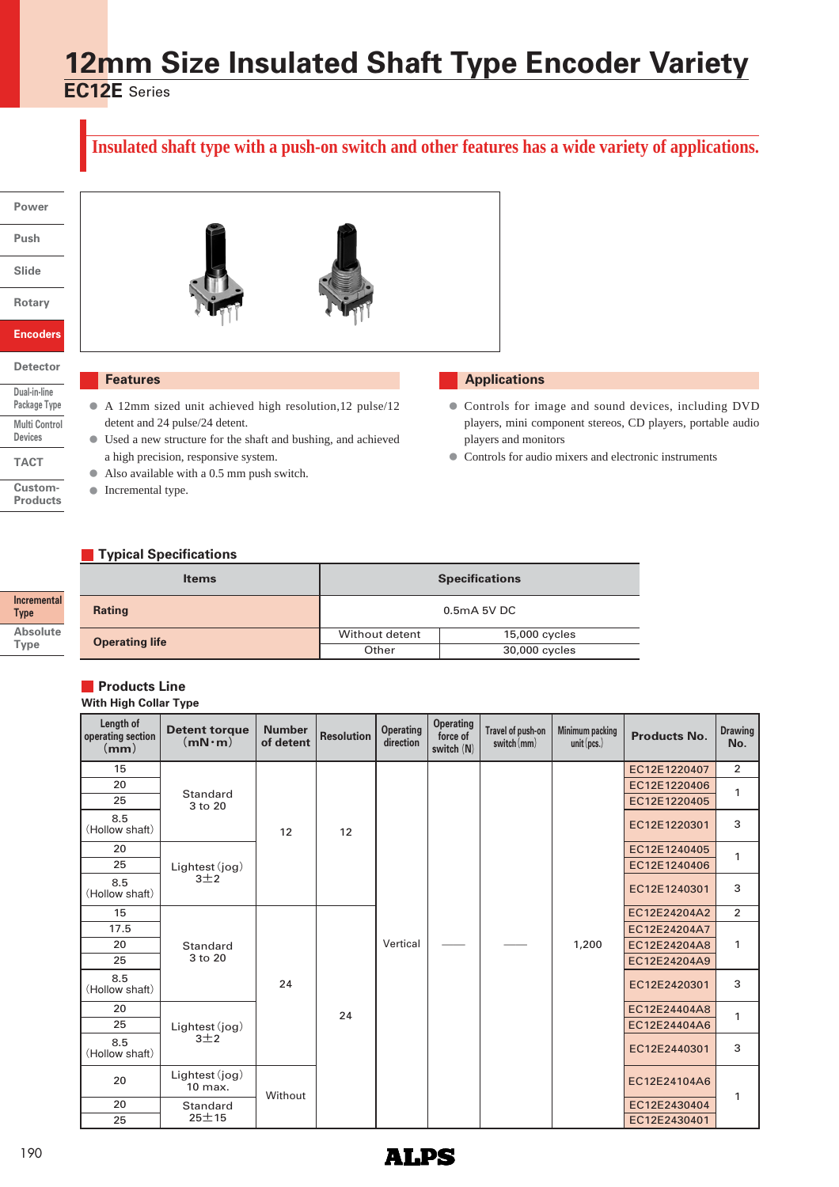# **12mm Size Insulated Shaft Type Encoder Variety**

**EC12E** Series

# **Insulated shaft type with a push-on switch and other features has a wide variety of applications.**

### **Power**

**Push**

**Slide**

**Rotary**

**Encoders**

# **Detector Dual-in-line**

**Package Type Multi Control Devices TACT**

**Custom-**

**Products**

**Incremental Type Absolute Type**





# **Features**

- A 12mm sized unit achieved high resolution,12 pulse/12 **●** detent and 24 pulse/24 detent.
- Used a new structure for the shaft and bushing, and achieved **●** a high precision, responsive system.
- Also available with a 0.5 mm push switch. **●**
- **●** Incremental type.

# **Applications**

- Controls for image and sound devices, including DVD **●** players, mini component stereos, CD players, portable audio players and monitors
- **●** Controls for audio mixers and electronic instruments

# **Typical Specifications**

| <b>Items</b>          | <b>Specifications</b>           |  |  |  |  |
|-----------------------|---------------------------------|--|--|--|--|
| <b>Rating</b>         | 0.5mA 5V DC                     |  |  |  |  |
| <b>Operating life</b> | Without detent<br>15,000 cycles |  |  |  |  |
|                       | Other<br>30,000 cycles          |  |  |  |  |

# **Products Line**

### **With High Collar Type**

| Length of<br>operating section<br>(mm) | <b>Detent torque</b><br>$(mN \cdot m)$ | <b>Number</b><br>of detent | <b>Resolution</b> | <b>Operating</b><br>direction | <b>Operating</b><br>force of<br>switch (N) | Travel of push-on<br>switch $(mm)$ | Minimum packing<br>unit(pcs.) | <b>Products No.</b> | <b>Drawing</b><br>No. |
|----------------------------------------|----------------------------------------|----------------------------|-------------------|-------------------------------|--------------------------------------------|------------------------------------|-------------------------------|---------------------|-----------------------|
| 15                                     |                                        |                            |                   |                               |                                            |                                    |                               | EC12E1220407        | $\overline{2}$        |
| 20                                     | <b>Standard</b>                        |                            |                   |                               |                                            |                                    |                               | EC12E1220406        | 1                     |
| 25                                     | 3 to 20                                |                            |                   |                               |                                            |                                    |                               | EC12E1220405        |                       |
| 8.5<br>(Hollow shaft)                  |                                        | 12                         | 12                |                               |                                            |                                    |                               | EC12E1220301        | 3                     |
| 20                                     |                                        |                            |                   |                               |                                            |                                    |                               | EC12E1240405        | 1                     |
| 25                                     | Lightest (jog)                         |                            |                   |                               |                                            |                                    |                               | EC12E1240406        |                       |
| 8.5<br>(Hollow shaft)                  | $3+2$                                  |                            |                   | Vertical                      |                                            |                                    | 1,200                         | EC12E1240301        | 3                     |
| 15                                     |                                        | 24                         |                   |                               |                                            |                                    |                               | EC12E24204A2        | $\overline{2}$        |
| 17.5                                   |                                        |                            |                   |                               |                                            |                                    |                               | EC12E24204A7        |                       |
| 20                                     | Standard                               |                            |                   |                               |                                            |                                    |                               | EC12E24204A8        | 1                     |
| 25                                     | 3 to 20                                |                            |                   |                               |                                            |                                    |                               | EC12E24204A9        |                       |
| 8.5<br>(Hollow shaft)                  |                                        |                            |                   |                               |                                            |                                    |                               | EC12E2420301        | 3                     |
| 20                                     |                                        |                            | 24                |                               |                                            |                                    |                               | EC12E24404A8        | 1                     |
| 25                                     | Lightest (jog)                         |                            |                   |                               |                                            |                                    |                               | EC12E24404A6        |                       |
| 8.5<br>(Hollow shaft)                  | $3+2$                                  |                            |                   |                               |                                            |                                    |                               | EC12E2440301        | 3                     |
| 20                                     | Lightest (jog)<br>10 max.              | Without                    |                   |                               |                                            |                                    |                               | EC12E24104A6        | 1                     |
| 20                                     | Standard                               |                            |                   |                               |                                            |                                    |                               | EC12E2430404        |                       |
| 25                                     | $25 + 15$                              |                            |                   |                               |                                            |                                    |                               | EC12E2430401        |                       |

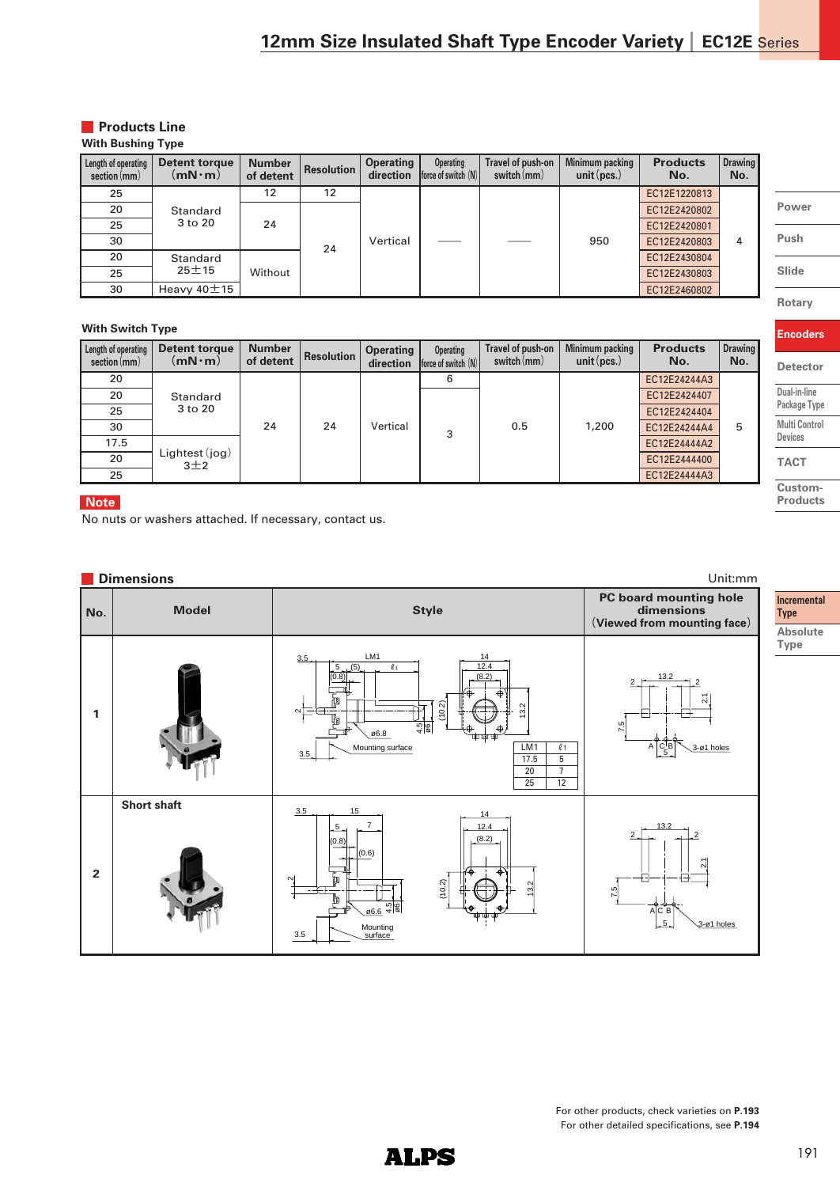### **Products Line With Bushing Type**

| Length of operating<br>section(mm) | Detent torque<br>$(\mathsf{mN\cdot m})$ | <b>Number</b><br>of detent | <b>Resolution</b> | <b>Operating</b><br>direction | Operating<br>force of switch $(N)$ | Travel of push-on<br>$switch$ (mm) | Minimum packing<br>unit $(pcs.)$ | <b>Products</b><br>No. | <b>Drawing</b><br>No. |  |              |  |
|------------------------------------|-----------------------------------------|----------------------------|-------------------|-------------------------------|------------------------------------|------------------------------------|----------------------------------|------------------------|-----------------------|--|--------------|--|
| 25                                 |                                         | 12                         | 12                |                               |                                    |                                    |                                  | EC12E1220813           |                       |  |              |  |
| 20                                 | Standard                                | 24<br>Without              |                   |                               |                                    |                                    |                                  | EC12E2420802           |                       |  |              |  |
| 25                                 | 3 to 20                                 |                            |                   |                               |                                    |                                    |                                  |                        |                       |  | EC12E2420801 |  |
| 30                                 |                                         |                            | 24                | Vertical                      |                                    |                                    | 950                              | EC12E2420803           | 4                     |  |              |  |
| 20                                 | Standard<br>$25 + 15$                   |                            |                   |                               |                                    |                                    |                                  |                        | EC12E2430804          |  |              |  |
| 25                                 |                                         |                            |                   |                               |                                    |                                    |                                  |                        |                       |  | EC12E2430803 |  |
| 30                                 | Heavy $40\pm 15$                        |                            |                   |                               |                                    |                                    |                                  | EC12E2460802           |                       |  |              |  |

# **With Switch Type**

| Length of operating<br>section(mm) | Detent torque<br>$(mN \cdot m)$                | <b>Number</b><br>of detent | <b>Resolution</b> | <b>Operating</b><br>direction | Operating<br>force of switch (N) | Travel of push-on<br>switch $(mm)$ | Minimum packing<br>unit $(pcs.)$ | <b>Products</b><br>No. | <b>Drawing</b><br>No. |  |  |  |  |  |              |  |
|------------------------------------|------------------------------------------------|----------------------------|-------------------|-------------------------------|----------------------------------|------------------------------------|----------------------------------|------------------------|-----------------------|--|--|--|--|--|--------------|--|
| 20                                 |                                                |                            |                   |                               |                                  |                                    |                                  | EC12E24244A3           |                       |  |  |  |  |  |              |  |
| 20                                 | Standard<br>3 to 20<br>Lightest (jog)<br>$3+2$ | 24                         | 24                | Vertical                      | 3                                | 0.5                                | 1,200                            | EC12E2424407           |                       |  |  |  |  |  |              |  |
| 25                                 |                                                |                            |                   |                               |                                  |                                    |                                  | EC12E2424404           |                       |  |  |  |  |  |              |  |
| 30                                 |                                                |                            |                   |                               |                                  |                                    |                                  | EC12E24244A4           | 5                     |  |  |  |  |  |              |  |
| 17.5                               |                                                |                            |                   |                               |                                  |                                    |                                  |                        |                       |  |  |  |  |  | EC12E24444A2 |  |
| 20                                 |                                                |                            |                   |                               |                                  |                                    |                                  | EC12E2444400           |                       |  |  |  |  |  |              |  |
| 25                                 |                                                |                            |                   |                               |                                  |                                    |                                  | EC12E24444A3           |                       |  |  |  |  |  |              |  |

# **Note**

No nuts or washers attached. If necessary, contact us.

#### **Dimensions** Unit:mm **PC board mounting hole Model Style No. dimensions (Viewed from mounting face)**  $3.5$  LM1 14  $5(5)$   $\ell_1$ 12.4 (0.8) (8.2) 2  $+$   $\frac{13.2}{2}$   $+$  2 ন<br>ম (10.2) 13.2 **1** ่ 7.5 4.5 ø6 ø6.8 Mounting surface LM1  $\ell_1$  $A \left[\begin{array}{c} C|B \\ 5 \end{array}\right] \searrow$  3-ø1 holes 3.5 17.5 5  $\begin{array}{|c|c|c|}\n\hline\n20 & 7 \\
\hline\n25 & 12\n\end{array}$  $\overline{25}$ **Short shaft**  $3.5$ 14 12.4 5 7 13.2  $2 - 2$  $\delta$ (8.2) (0.6)  $\frac{1}{2}$ **2**  $\scriptstyle\sim$ (10.2) 13.2 7.5 Ъ 4.5 ø6 ø6.6 A C B 3-ø1 holes 5 3.5 **Mounting**

**ALPS** 

**Incremental Type Absolute** 

**Rotary**

**Encoders**

**Detector Dual-in-line Package Type Multi Control Devices TACT Custom-Products**

# **Power Push Slide**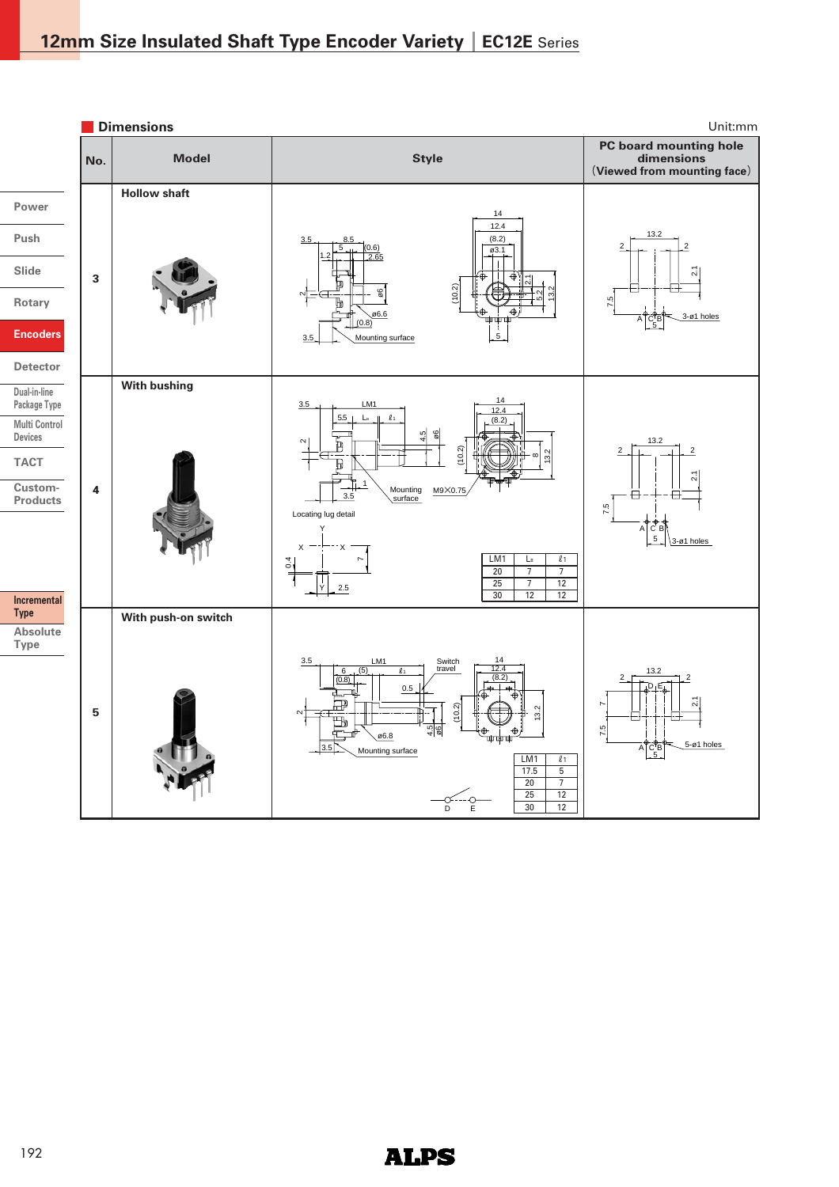

# **ALPS**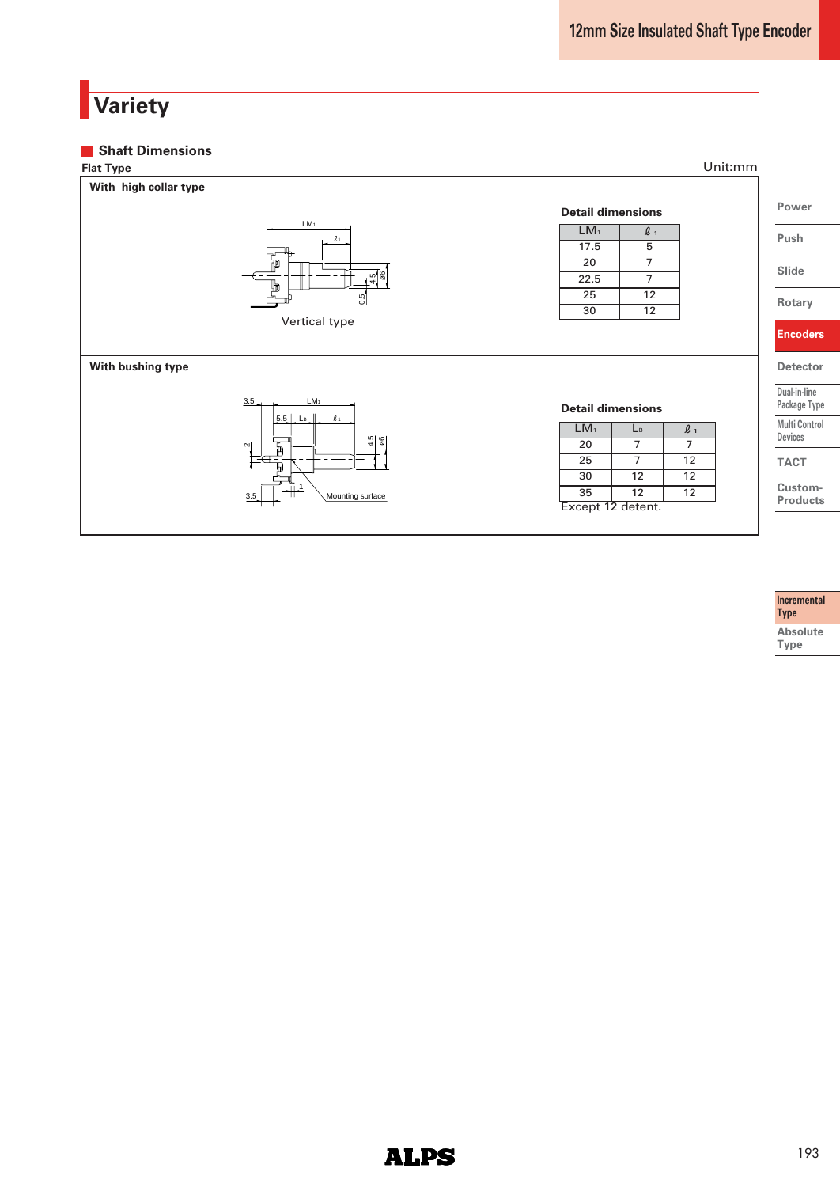# **Variety**

#### **Shaft Dimensions**



#### **Incremental Type Absolute Type**